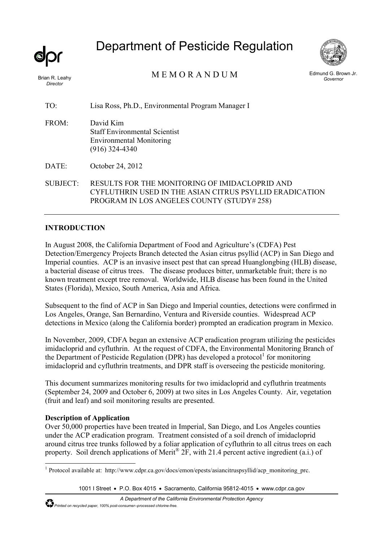*Director* 

# Department of Pesticide Regulation



Brian R. Leahy MEMORANDUM

Edmund G. Brown Jr. *Governor* 

TO: Lisa Ross, Ph.D., Environmental Program Manager I

- FROM: David Kim Staff Environmental Scientist Environmental Monitoring (916) 324-4340
- DATE: October 24, 2012

SUBJECT: RESULTS FOR THE MONITORING OF IMIDACLOPRID AND CYFLUTHRIN USED IN THE ASIAN CITRUS PSYLLID ERADICATION PROGRAM IN LOS ANGELES COUNTY (STUDY# 258)

# **INTRODUCTION**

In August 2008, the California Department of Food and Agriculture's (CDFA) Pest Detection/Emergency Projects Branch detected the Asian citrus psyllid (ACP) in San Diego and Imperial counties. ACP is an invasive insect pest that can spread Huanglongbing (HLB) disease, a bacterial disease of citrus trees. The disease produces bitter, unmarketable fruit; there is no known treatment except tree removal. Worldwide, HLB disease has been found in the United States (Florida), Mexico, South America, Asia and Africa.

Subsequent to the find of ACP in San Diego and Imperial counties, detections were confirmed in Los Angeles, Orange, San Bernardino, Ventura and Riverside counties. Widespread ACP detections in Mexico (along the California border) prompted an eradication program in Mexico.

In November, 2009, CDFA began an extensive ACP eradication program utilizing the pesticides imidacloprid and cyfluthrin. At the request of CDFA, the Environmental Monitoring Branch of the Department of Pesticide Regulation (DPR) has developed a protocol<sup>1</sup> for monitoring imidacloprid and cyfluthrin treatments, and DPR staff is overseeing the pesticide monitoring.

This document summarizes monitoring results for two imidacloprid and cyfluthrin treatments (September 24, 2009 and October 6, 2009) at two sites in Los Angeles County. Air, vegetation (fruit and leaf) and soil monitoring results are presented.

# **Description of Application**

Over 50,000 properties have been treated in Imperial, San Diego, and Los Angeles counties under the ACP eradication program. Treatment consisted of a soil drench of imidacloprid around citrus tree trunks followed by a foliar application of cyfluthrin to all citrus trees on each property. Soil drench applications of Merit<sup>®</sup> 2F, with 21.4 percent active ingredient (a.i.) of

<sup>&</sup>lt;sup>1</sup> Protocol available at: http://www.cdpr.ca.gov/docs/emon/epests/asiancitruspsyllid/acp\_monitoring\_prc.

<sup>1001</sup> I Street • P.O. Box 4015 • Sacramento, California 95812-4015 • www.cdpr.ca.gov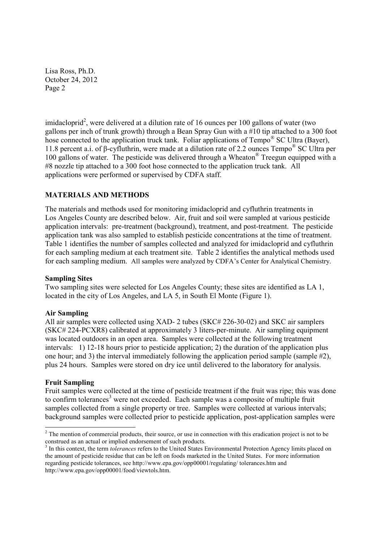imidacloprid<sup>2</sup>, were delivered at a dilution rate of 16 ounces per 100 gallons of water (two gallons per inch of trunk growth) through a Bean Spray Gun with a #10 tip attached to a 300 foot hose connected to the application truck tank. Foliar applications of Tempo<sup>®</sup> SC Ultra (Bayer), 11.8 percent a.i. of β-cyfluthrin, were made at a dilution rate of 2.2 ounces Tempo® SC Ultra per 100 gallons of water. The pesticide was delivered through a Wheaton® Treegun equipped with a #8 nozzle tip attached to a 300 foot hose connected to the application truck tank. All applications were performed or supervised by CDFA staff.

# **MATERIALS AND METHODS**

The materials and methods used for monitoring imidacloprid and cyfluthrin treatments in Los Angeles County are described below. Air, fruit and soil were sampled at various pesticide application intervals: pre-treatment (background), treatment, and post-treatment. The pesticide application tank was also sampled to establish pesticide concentrations at the time of treatment. Table 1 identifies the number of samples collected and analyzed for imidacloprid and cyfluthrin for each sampling medium at each treatment site. Table 2 identifies the analytical methods used for each sampling medium. All samples were analyzed by CDFA's Center for Analytical Chemistry.

# **Sampling Sites**

Two sampling sites were selected for Los Angeles County; these sites are identified as LA 1, located in the city of Los Angeles, and LA 5, in South El Monte (Figure 1).

# **Air Sampling**

All air samples were collected using XAD- 2 tubes (SKC# 226-30-02) and SKC air samplers (SKC# 224-PCXR8) calibrated at approximately 3 liters-per-minute. Air sampling equipment was located outdoors in an open area. Samples were collected at the following treatment intervals: 1) 12-18 hours prior to pesticide application; 2) the duration of the application plus one hour; and 3) the interval immediately following the application period sample (sample  $#2$ ), plus 24 hours. Samples were stored on dry ice until delivered to the laboratory for analysis.

# **Fruit Sampling**

Fruit samples were collected at the time of pesticide treatment if the fruit was ripe; this was done to confirm tolerances<sup>3</sup> were not exceeded. Each sample was a composite of multiple fruit samples collected from a single property or tree. Samples were collected at various intervals; background samples were collected prior to pesticide application, post-application samples were

<sup>&</sup>lt;sup>2</sup> The mention of commercial products, their source, or use in connection with this eradication project is not to be construed as an actual or implied endorsement of such products.

<sup>3</sup> In this context, the term *tolerances* refers to the United States Environmental Protection Agency limits placed on the amount of pesticide residue that can be left on foods marketed in the United States. For more information regarding pesticide tolerances, see http://www.epa.gov/opp00001/regulating/ tolerances.htm and http://www.epa.gov/opp00001/food/viewtols.htm.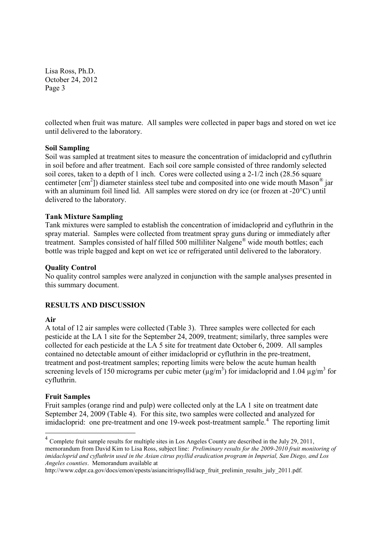collected when fruit was mature. All samples were collected in paper bags and stored on wet ice until delivered to the laboratory.

#### **Soil Sampling**

Soil was sampled at treatment sites to measure the concentration of imidacloprid and cyfluthrin in soil before and after treatment. Each soil core sample consisted of three randomly selected soil cores, taken to a depth of 1 inch. Cores were collected using a 2-1/2 inch (28.56 square centimeter  $[cm^2]$ ) diameter stainless steel tube and composited into one wide mouth Mason® jar with an aluminum foil lined lid. All samples were stored on dry ice (or frozen at -20°C) until delivered to the laboratory.

#### **Tank Mixture Sampling**

Tank mixtures were sampled to establish the concentration of imidacloprid and cyfluthrin in the spray material. Samples were collected from treatment spray guns during or immediately after treatment. Samples consisted of half filled 500 milliliter Nalgene® wide mouth bottles; each bottle was triple bagged and kept on wet ice or refrigerated until delivered to the laboratory.

#### **Quality Control**

No quality control samples were analyzed in conjunction with the sample analyses presented in this summary document.

# **RESULTS AND DISCUSSION**

#### **Air**

A total of 12 air samples were collected (Table 3). Three samples were collected for each pesticide at the LA 1 site for the September 24, 2009, treatment; similarly, three samples were collected for each pesticide at the LA 5 site for treatment date October 6, 2009. All samples contained no detectable amount of either imidacloprid or cyfluthrin in the pre-treatment, treatment and post-treatment samples; reporting limits were below the acute human health screening levels of 150 micrograms per cubic meter ( $\mu$ g/m<sup>3</sup>) for imidacloprid and 1.04  $\mu$ g/m<sup>3</sup> for cyfluthrin.

#### **Fruit Samples**

Fruit samples (orange rind and pulp) were collected only at the LA 1 site on treatment date September 24, 2009 (Table 4). For this site, two samples were collected and analyzed for imidacloprid: one pre-treatment and one 19-week post-treatment sample.<sup>4</sup> The reporting limit

<sup>4</sup> Complete fruit sample results for multiple sites in Los Angeles County are described in the July 29, 2011, memorandum from David Kim to Lisa Ross, subject line: *Preliminary results for the 2009-2010 fruit monitoring of imidacloprid and cyfluthrin used in the Asian citrus psyllid eradication program in Imperial, San Diego, and Los Angeles counties*. Memorandum available at

http://www.cdpr.ca.gov/docs/emon/epests/asiancitrispsyllid/acp\_fruit\_prelimin\_results\_july\_2011.pdf.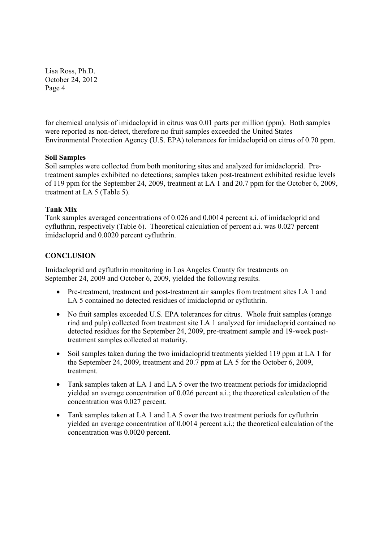for chemical analysis of imidacloprid in citrus was 0.01 parts per million (ppm). Both samples were reported as non-detect, therefore no fruit samples exceeded the United States Environmental Protection Agency (U.S. EPA) tolerances for imidacloprid on citrus of 0.70 ppm.

# **Soil Samples**

Soil samples were collected from both monitoring sites and analyzed for imidacloprid. Pretreatment samples exhibited no detections; samples taken post-treatment exhibited residue levels of 119 ppm for the September 24, 2009, treatment at LA 1 and 20.7 ppm for the October 6, 2009, treatment at LA 5 (Table 5).

# **Tank Mix**

Tank samples averaged concentrations of 0.026 and 0.0014 percent a.i. of imidacloprid and cyfluthrin, respectively (Table 6). Theoretical calculation of percent a.i. was 0.027 percent imidacloprid and 0.0020 percent cyfluthrin.

# **CONCLUSION**

Imidacloprid and cyfluthrin monitoring in Los Angeles County for treatments on September 24, 2009 and October 6, 2009, yielded the following results.

- Pre-treatment, treatment and post-treatment air samples from treatment sites LA 1 and LA 5 contained no detected residues of imidacloprid or cyfluthrin.
- No fruit samples exceeded U.S. EPA tolerances for citrus. Whole fruit samples (orange rind and pulp) collected from treatment site LA 1 analyzed for imidacloprid contained no detected residues for the September 24, 2009, pre-treatment sample and 19-week posttreatment samples collected at maturity.
- Soil samples taken during the two imidacloprid treatments yielded 119 ppm at LA 1 for the September 24, 2009, treatment and 20.7 ppm at LA 5 for the October 6, 2009, treatment.
- Tank samples taken at LA 1 and LA 5 over the two treatment periods for imidacloprid yielded an average concentration of 0.026 percent a.i.; the theoretical calculation of the concentration was 0.027 percent.
- Tank samples taken at LA 1 and LA 5 over the two treatment periods for cyfluthrin yielded an average concentration of 0.0014 percent a.i.; the theoretical calculation of the concentration was 0.0020 percent.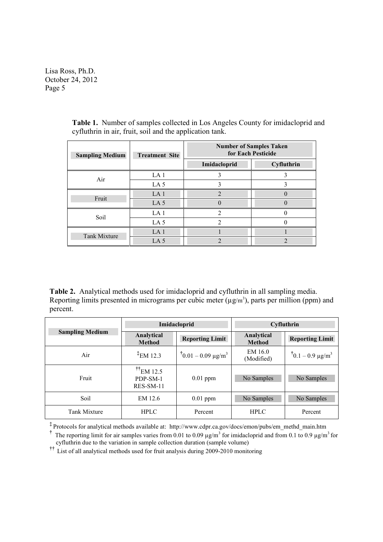| <b>Sampling Medium</b> | <b>Treatment Site</b> | <b>Number of Samples Taken</b><br>for Each Pesticide |            |  |
|------------------------|-----------------------|------------------------------------------------------|------------|--|
|                        |                       | Imidacloprid                                         | Cyfluthrin |  |
| Air                    | LA <sub>1</sub>       |                                                      |            |  |
|                        | LA $5$                |                                                      |            |  |
| Fruit                  | LA <sub>1</sub>       | $\mathcal{D}$                                        |            |  |
|                        | LA $5$                |                                                      |            |  |
| Soil                   | LA <sub>1</sub>       | $\mathcal{D}$                                        |            |  |
|                        | LA $5$                | 2                                                    |            |  |
| <b>Tank Mixture</b>    | LA <sub>1</sub>       |                                                      |            |  |
|                        | LA <sub>5</sub>       | ↑                                                    |            |  |

**Table 1.** Number of samples collected in Los Angeles County for imidacloprid and cyfluthrin in air, fruit, soil and the application tank.

**Table 2.** Analytical methods used for imidacloprid and cyfluthrin in all sampling media. Reporting limits presented in micrograms per cubic meter  $(\mu g/m^3)$ , parts per million (ppm) and percent.

|                        | Imidacloprid                                                |                               | <b>Cyfluthrin</b>           |                          |
|------------------------|-------------------------------------------------------------|-------------------------------|-----------------------------|--------------------------|
| <b>Sampling Medium</b> | Analytical<br><b>Method</b>                                 | <b>Reporting Limit</b>        | Analytical<br><b>Method</b> | <b>Reporting Limit</b>   |
| Air                    | $^{\ddagger}$ EM 12.3                                       | $10.01 - 0.09 \text{ µg/m}^3$ | EM 16.0<br>(Modified)       | $1 - 0.9 \text{ µg/m}^3$ |
| Fruit                  | $\text{t}$ <sup>††</sup> EM 12.5<br>PDP-SM-1<br>$RES-SM-11$ | $0.01$ ppm                    | No Samples                  | No Samples               |
| Soil                   | EM 12.6                                                     | $0.01$ ppm                    | No Samples                  | No Samples               |
| <b>Tank Mixture</b>    | <b>HPLC</b>                                                 | Percent                       | <b>HPLC</b>                 | Percent                  |

**‡** Protocols for analytical methods available at: http://www.cdpr.ca.gov/docs/emon/pubs/em\_methd\_main.htm

**††** List of all analytical methods used for fruit analysis during 2009-2010 monitoring

<sup>&</sup>lt;sup>†</sup> The reporting limit for air samples varies from 0.01 to 0.09  $\mu$ g/m<sup>3</sup> for imidacloprid and from 0.1 to 0.9  $\mu$ g/m<sup>3</sup> for cyfluthrin due to the variation in sample collection duration (sample volume)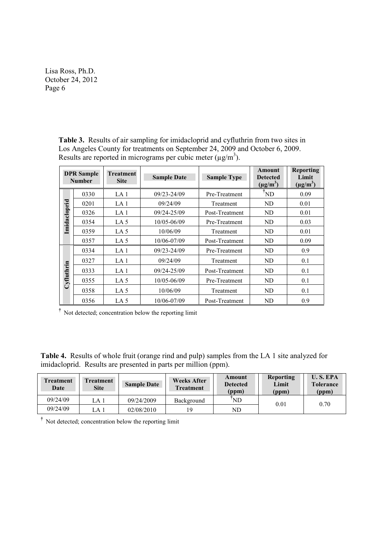**Table 3.** Results of air sampling for imidacloprid and cyfluthrin from two sites in Los Angeles County for treatments on September 24, 2009 and October 6, 2009. Results are reported in micrograms per cubic meter  $(\mu g/m^3)$ .

| <b>DPR</b> Sample<br><b>Number</b> |      | Treatment<br><b>Site</b> | <b>Sample Date</b>               | <b>Sample Type</b> | <b>Amount</b><br><b>Detected</b><br>$(\mu g/m^3)$ | <b>Reporting</b><br>Limit<br>$(\mu g/m^3)$ |
|------------------------------------|------|--------------------------|----------------------------------|--------------------|---------------------------------------------------|--------------------------------------------|
|                                    | 0330 | LA 1                     | $09/23 - 24/09$<br>Pre-Treatment |                    | <sup>i</sup> ND                                   | 0.09                                       |
|                                    | 0201 | LA 1                     | 09/24/09                         | Treatment          | N <sub>D</sub>                                    | 0.01                                       |
| Imidacloprid                       | 0326 | LA <sub>1</sub>          | $09/24 - 25/09$                  | Post-Treatment     | N <sub>D</sub>                                    | 0.01                                       |
|                                    | 0354 | LA $5$                   | 10/05-06/09                      | Pre-Treatment      | N <sub>D</sub>                                    | 0.03                                       |
|                                    | 0359 | LA $5$                   | 10/06/09                         | Treatment          | N <sub>D</sub>                                    | 0.01                                       |
|                                    | 0357 | LA 5                     | 10/06-07/09                      | Post-Treatment     | ND                                                | 0.09                                       |
|                                    | 0334 | LA <sub>1</sub>          | 09/23-24/09                      | Pre-Treatment      | ND                                                | 0.9                                        |
|                                    | 0327 | LA 1                     | 09/24/09                         | Treatment          | ND                                                | 0.1                                        |
|                                    | 0333 | LA 1                     | $09/24 - 25/09$                  | Post-Treatment     | ND                                                | 0.1                                        |
| Cyfluthrin                         | 0355 | LA $5$                   | 10/05-06/09                      | Pre-Treatment      | ND                                                | 0.1                                        |
|                                    | 0358 | LA $5$                   | 10/06/09                         | Treatment          | ND                                                | 0.1                                        |
|                                    | 0356 | LA $5$                   | 10/06-07/09                      | Post-Treatment     | ND                                                | 0.9                                        |

**†** Not detected; concentration below the reporting limit

**Table 4.** Results of whole fruit (orange rind and pulp) samples from the LA 1 site analyzed for imidacloprid. Results are presented in parts per million (ppm).

| <b>Treatment</b><br>Date | <b>Treatment</b><br><b>Site</b> | <b>Sample Date</b> | <b>Weeks After</b><br><b>Treatment</b> | Amount<br><b>Detected</b><br>(ppm) | <b>Reporting</b><br>Limit<br>(ppm) | <b>U.S. EPA</b><br><b>Tolerance</b><br>(ppm) |
|--------------------------|---------------------------------|--------------------|----------------------------------------|------------------------------------|------------------------------------|----------------------------------------------|
| 09/24/09                 | LA 1                            | 09/24/2009         | Background                             | ND                                 | 0.01                               | 0.70                                         |
| 09/24/09                 | . a 1                           | 02/08/2010         |                                        | ND                                 |                                    |                                              |

**†** Not detected; concentration below the reporting limit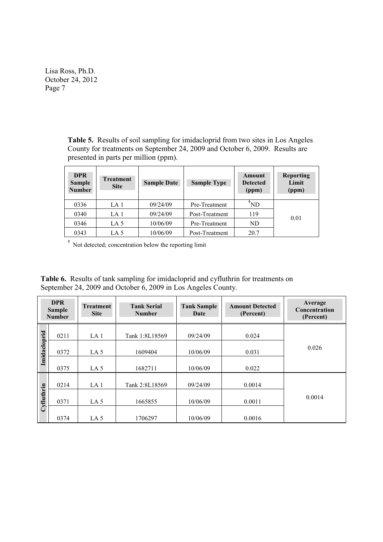> **Table 5.** Results of soil sampling for imidacloprid from two sites in Los Angeles County for treatments on September 24, 2009 and October 6, 2009. Results are presented in parts per million (ppm).

| <b>DPR</b><br><b>Sample</b><br><b>Number</b> | <b>Treatment</b><br><b>Site</b> | <b>Sample Date</b> | <b>Sample Type</b> | Amount<br><b>Detected</b><br>(ppm) | <b>Reporting</b><br>Limit<br>(ppm) |
|----------------------------------------------|---------------------------------|--------------------|--------------------|------------------------------------|------------------------------------|
| 0336                                         | LA <sub>1</sub>                 | 09/24/09           | Pre-Treatment      | <b>ND</b>                          |                                    |
| 0340                                         | LA 1                            | 09/24/09           | Post-Treatment     | 119                                | 0.01                               |
| 0346                                         | LA 5                            | 10/06/09           | Pre-Treatment      | ND                                 |                                    |
| 0343                                         | LA 5                            | 10/06/09           | Post-Treatment     | 20.7                               |                                    |

**†** Not detected; concentration below the reporting limit

**Table 6.** Results of tank sampling for imidacloprid and cyfluthrin for treatments on September 24, 2009 and October 6, 2009 in Los Angeles County.

|              | <b>DPR</b><br><b>Sample</b><br><b>Number</b> | <b>Treatment</b><br><b>Site</b> | <b>Tank Serial</b><br><b>Number</b> | <b>Tank Sample</b><br>Date | <b>Amount Detected</b><br>(Percent) | Average<br>Concentration<br>(Percent) |
|--------------|----------------------------------------------|---------------------------------|-------------------------------------|----------------------------|-------------------------------------|---------------------------------------|
|              | 0211                                         | LA <sub>1</sub>                 | Tank 1:8L18569                      | 09/24/09                   | 0.024                               |                                       |
| Imidacloprid | 0372                                         | LA $5$                          | 1609404                             | 10/06/09                   | 0.031                               | 0.026                                 |
|              | 0375                                         | LA <sub>5</sub>                 | 1682711                             | 10/06/09                   | 0.022                               |                                       |
|              | 0214                                         | LA <sub>1</sub>                 | Tank 2:8L18569                      | 09/24/09                   | 0.0014                              |                                       |
| Cyfluthrin   | 0371                                         | LA $5$                          | 1665855                             | 10/06/09                   | 0.0011                              | 0.0014                                |
|              | 0374                                         | LA $5$                          | 1706297                             | 10/06/09                   | 0.0016                              |                                       |